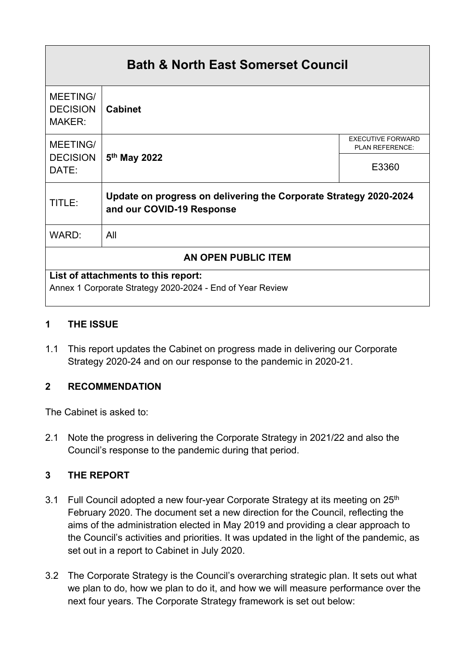# **Bath & North East Somerset Council** MEETING/ **DECISION** MAKER: **Cabinet** MEETING/ PLAN REFERENCE: **DECISION** DATE: **5 th May 2022** E3360 TITLE: **Update on progress on delivering the Corporate Strategy 2020-2024 and our COVID-19 Response** WARD: All **AN OPEN PUBLIC ITEM List of attachments to this report:** Annex 1 Corporate Strategy 2020-2024 - End of Year Review

#### **1 THE ISSUE**

1.1 This report updates the Cabinet on progress made in delivering our Corporate Strategy 2020-24 and on our response to the pandemic in 2020-21.

#### **2 RECOMMENDATION**

The Cabinet is asked to:

2.1 Note the progress in delivering the Corporate Strategy in 2021/22 and also the Council's response to the pandemic during that period.

#### **3 THE REPORT**

- 3.1 Full Council adopted a new four-year Corporate Strategy at its meeting on 25<sup>th</sup> February 2020. The document set a new direction for the Council, reflecting the aims of the administration elected in May 2019 and providing a clear approach to the Council's activities and priorities. It was updated in the light of the pandemic, as set out in a report to Cabinet in July 2020.
- 3.2 The Corporate Strategy is the Council's overarching strategic plan. It sets out what we plan to do, how we plan to do it, and how we will measure performance over the next four years. The Corporate Strategy framework is set out below: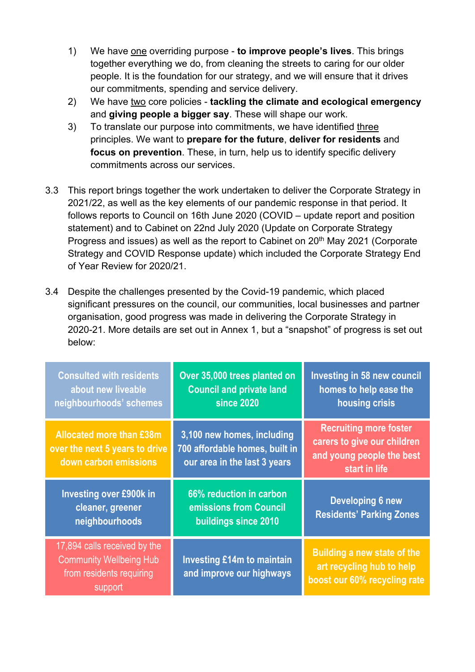- 1) We have one overriding purpose **to improve people's lives**. This brings together everything we do, from cleaning the streets to caring for our older people. It is the foundation for our strategy, and we will ensure that it drives our commitments, spending and service delivery.
- 2) We have two core policies **tackling the climate and ecological emergency** and **giving people a bigger say**. These will shape our work.
- 3) To translate our purpose into commitments, we have identified three principles. We want to **prepare for the future**, **deliver for residents** and **focus on prevention**. These, in turn, help us to identify specific delivery commitments across our services.
- 3.3 This report brings together the work undertaken to deliver the Corporate Strategy in 2021/22, as well as the key elements of our pandemic response in that period. It follows reports to Council on 16th June 2020 (COVID – update report and position statement) and to Cabinet on 22nd July 2020 (Update on Corporate Strategy Progress and issues) as well as the report to Cabinet on 20<sup>th</sup> May 2021 (Corporate Strategy and COVID Response update) which included the Corporate Strategy End of Year Review for 2020/21.
- 3.4 Despite the challenges presented by the Covid-19 pandemic, which placed significant pressures on the council, our communities, local businesses and partner organisation, good progress was made in delivering the Corporate Strategy in 2020-21. More details are set out in Annex 1, but a "snapshot" of progress is set out below:

| <b>Consulted with residents</b><br>about new liveable<br>neighbourhoods' schemes                      | Over 35,000 trees planted on<br><b>Council and private land</b><br><b>since 2020</b>         | <b>Investing in 58 new council</b><br>homes to help ease the<br>housing crisis                             |
|-------------------------------------------------------------------------------------------------------|----------------------------------------------------------------------------------------------|------------------------------------------------------------------------------------------------------------|
| <b>Allocated more than £38m</b><br>over the next 5 years to drive<br>down carbon emissions            | 3,100 new homes, including<br>700 affordable homes, built in<br>our area in the last 3 years | <b>Recruiting more foster</b><br>carers to give our children<br>and young people the best<br>start in life |
| <b>Investing over £900k in</b><br>cleaner, greener<br>neighbourhoods                                  | 66% reduction in carbon<br>emissions from Council<br><b>buildings since 2010</b>             | <b>Developing 6 new</b><br><b>Residents' Parking Zones</b>                                                 |
| 17,894 calls received by the<br><b>Community Wellbeing Hub</b><br>from residents requiring<br>support | <b>Investing £14m to maintain</b><br>and improve our highways                                | <b>Building a new state of the</b><br>art recycling hub to help<br>boost our 60% recycling rate            |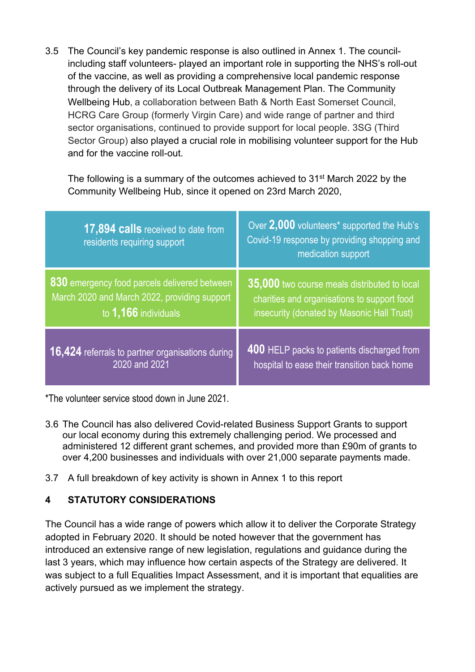3.5 The Council's key pandemic response is also outlined in Annex 1. The councilincluding staff volunteers- played an important role in supporting the NHS's roll-out of the vaccine, as well as providing a comprehensive local pandemic response through the delivery of its Local Outbreak Management Plan. The Community Wellbeing Hub, a collaboration between Bath & North East Somerset Council, HCRG Care Group (formerly Virgin Care) and wide range of partner and third sector organisations, continued to provide support for local people. 3SG (Third Sector Group) also played a crucial role in mobilising volunteer support for the Hub and for the vaccine roll-out.

The following is a summary of the outcomes achieved to 31<sup>st</sup> March 2022 by the Community Wellbeing Hub, since it opened on 23rd March 2020,

| 17,894 calls received to date from<br>residents requiring support | Over 2,000 volunteers* supported the Hub's<br>Covid-19 response by providing shopping and<br>medication support |
|-------------------------------------------------------------------|-----------------------------------------------------------------------------------------------------------------|
| 830 emergency food parcels delivered between                      | 35,000 two course meals distributed to local                                                                    |
| March 2020 and March 2022, providing support                      | charities and organisations to support food                                                                     |
| to 1,166 individuals                                              | insecurity (donated by Masonic Hall Trust)                                                                      |
| 16,424 referrals to partner organisations during                  | 400 HELP packs to patients discharged from                                                                      |
| 2020 and 2021                                                     | hospital to ease their transition back home                                                                     |

\*The volunteer service stood down in June 2021.

- 3.6 The Council has also delivered Covid-related Business Support Grants to support our local economy during this extremely challenging period. We processed and administered 12 different grant schemes, and provided more than £90m of grants to over 4,200 businesses and individuals with over 21,000 separate payments made.
- 3.7 A full breakdown of key activity is shown in Annex 1 to this report

#### **4 STATUTORY CONSIDERATIONS**

The Council has a wide range of powers which allow it to deliver the Corporate Strategy adopted in February 2020. It should be noted however that the government has introduced an extensive range of new legislation, regulations and guidance during the last 3 years, which may influence how certain aspects of the Strategy are delivered. It was subject to a full Equalities Impact Assessment, and it is important that equalities are actively pursued as we implement the strategy.